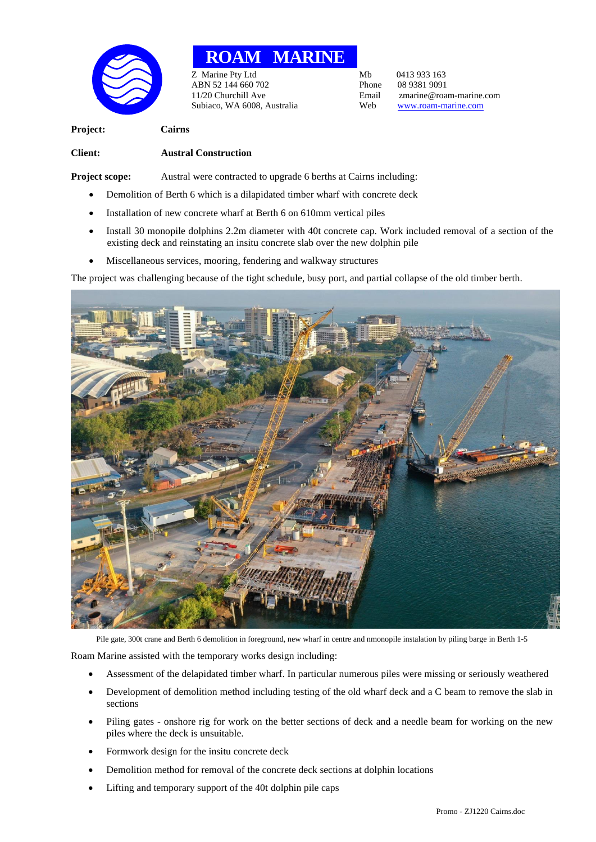

## **ROAM MARINE**

Z Marine Pty Ltd<br>
ABN 52 144 660 702<br>
Phone 08 9381 9091 ABN 52 144 660 702 Phone<br>11/20 Churchill Ave Final Subiaco, WA 6008, Australia Web [www.roam-marine.com](http://www.roam-marine.com/)

Email zmarine@roam-marine.com<br>Web www.roam-marine.com

**Project: Cairns**

## **Client: Austral Construction**

**Project scope:** Austral were contracted to upgrade 6 berths at Cairns including:

- Demolition of Berth 6 which is a dilapidated timber wharf with concrete deck
- Installation of new concrete wharf at Berth 6 on 610mm vertical piles
- Install 30 monopile dolphins 2.2m diameter with 40t concrete cap. Work included removal of a section of the existing deck and reinstating an insitu concrete slab over the new dolphin pile
- Miscellaneous services, mooring, fendering and walkway structures

The project was challenging because of the tight schedule, busy port, and partial collapse of the old timber berth.



Pile gate, 300t crane and Berth 6 demolition in foreground, new wharf in centre and nmonopile instalation by piling barge in Berth 1-5

Roam Marine assisted with the temporary works design including:

- Assessment of the delapidated timber wharf. In particular numerous piles were missing or seriously weathered
- Development of demolition method including testing of the old wharf deck and a C beam to remove the slab in sections
- Piling gates onshore rig for work on the better sections of deck and a needle beam for working on the new piles where the deck is unsuitable.
- Formwork design for the insitu concrete deck
- Demolition method for removal of the concrete deck sections at dolphin locations
- Lifting and temporary support of the 40t dolphin pile caps